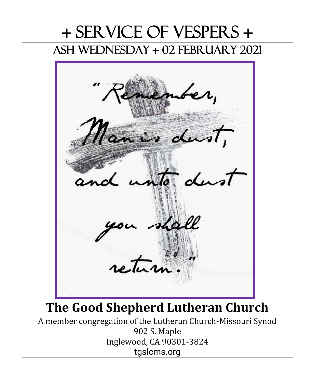# + Service of Vespers + Ash Wednesday + 02 February 2021



# **The Good Shepherd Lutheran Church**

A member congregation of the Lutheran Church-Missouri Synod 902 S. Maple Inglewood, CA 90301-3824 tgslcms.org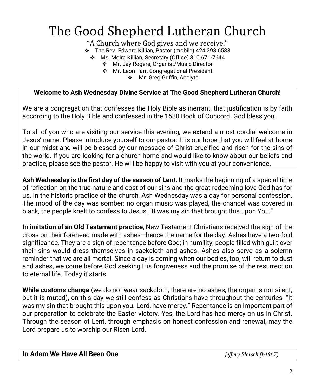# The Good Shepherd Lutheran Church

"A Church where God gives and we receive."

❖ The Rev. Edward Killian, Pastor (mobile) 424.293.6588

❖ Ms. Moira Killian, Secretary (Office) 310.671-7644

❖ Mr. Jay Rogers, Organist/Music Director

❖ Mr. Leon Tarr, Congregational President

❖ Mr. Greg Griffin, Acolyte

### **Welcome to Ash Wednesday Divine Service at The Good Shepherd Lutheran Church!**

We are a congregation that confesses the Holy Bible as inerrant, that justification is by faith according to the Holy Bible and confessed in the 1580 Book of Concord. God bless you.

To all of you who are visiting our service this evening, we extend a most cordial welcome in Jesus' name. Please introduce yourself to our pastor. It is our hope that you will feel at home in our midst and will be blessed by our message of Christ crucified and risen for the sins of the world. If you are looking for a church home and would like to know about our beliefs and practice, please see the pastor. He will be happy to visit with you at your convenience.

**Ash Wednesday is the first day of the season of Lent.** It marks the beginning of a special time of reflection on the true nature and cost of our sins and the great redeeming love God has for us. In the historic practice of the church, Ash Wednesday was a day for personal confession. The mood of the day was somber: no organ music was played, the chancel was covered in black, the people knelt to confess to Jesus, "It was my sin that brought this upon You."

**In imitation of an Old Testament practice**, New Testament Christians received the sign of the cross on their forehead made with ashes—hence the name for the day. Ashes have a two-fold significance. They are a sign of repentance before God; in humility, people filled with guilt over their sins would dress themselves in sackcloth and ashes. Ashes also serve as a solemn reminder that we are all mortal. Since a day is coming when our bodies, too, will return to dust and ashes, we come before God seeking His forgiveness and the promise of the resurrection to eternal life. Today it starts.

**While customs change** (we do not wear sackcloth, there are no ashes, the organ is not silent, but it is muted), on this day we still confess as Christians have throughout the centuries: "It was my sin that brought this upon you. Lord, have mercy." Repentance is an important part of our preparation to celebrate the Easter victory. Yes, the Lord has had mercy on us in Christ. Through the season of Lent, through emphasis on honest confession and renewal, may the Lord prepare us to worship our Risen Lord.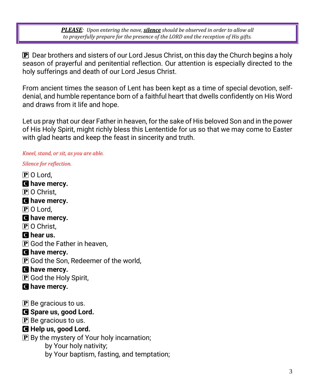*PLEASE: Upon entering the nave, silence should be observed in order to allow all to prayerfully prepare for the presence of the LORD and the reception of His gifts.*

P Dear brothers and sisters of our Lord Jesus Christ, on this day the Church begins a holy season of prayerful and penitential reflection. Our attention is especially directed to the holy sufferings and death of our Lord Jesus Christ.

From ancient times the season of Lent has been kept as a time of special devotion, selfdenial, and humble repentance born of a faithful heart that dwells confidently on His Word and draws from it life and hope.

Let us pray that our dear Father in heaven, for the sake of His beloved Son and in the power of His Holy Spirit, might richly bless this Lententide for us so that we may come to Easter with glad hearts and keep the feast in sincerity and truth.

### *Kneel, stand, or sit, as you are able.*

*Silence for reflection.*

- P O Lord, C **have mercy. P** O Christ. C **have mercy.**  $\mathbf P$  O Lord, C **have mercy. P** O Christ. **C** hear us.  $\mathbf{P}$  God the Father in heaven, C **have mercy.** P God the Son, Redeemer of the world, C **have mercy.** P God the Holy Spirit, C **have mercy.**  $\mathbf P$  Be gracious to us. C **Spare us, good Lord.**  $\mathbf{P}$  Be gracious to us. C **Help us, good Lord.** P By the mystery of Your holy incarnation; by Your holy nativity;
	- by Your baptism, fasting, and temptation;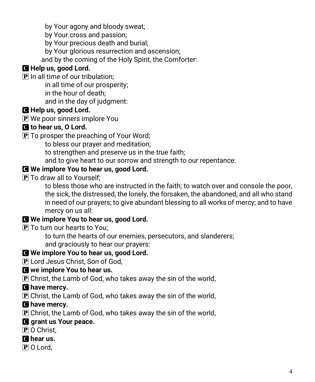by Your agony and bloody sweat;

by Your cross and passion;

by Your precious death and burial;

by Your glorious resurrection and ascension;

and by the coming of the Holy Spirit, the Comforter:

## C **Help us, good Lord.**

 $\bf{P}$  In all time of our tribulation;

in all time of our prosperity;

in the hour of death;

and in the day of judgment:

## C **Help us, good Lord.**

 $\bf{P}$  We poor sinners implore You

## C **to hear us, O Lord.**

P To prosper the preaching of Your Word;

to bless our prayer and meditation;

to strengthen and preserve us in the true faith;

and to give heart to our sorrow and strength to our repentance:

## C **We implore You to hear us, good Lord.**

**P** To draw all to Yourself;

to bless those who are instructed in the faith; to watch over and console the poor, the sick, the distressed, the lonely, the forsaken, the abandoned, and all who stand in need of our prayers; to give abundant blessing to all works of mercy; and to have mercy on us all:

## C **We implore You to hear us, good Lord.**

P To turn our hearts to You;

to turn the hearts of our enemies, persecutors, and slanderers; and graciously to hear our prayers:

## C **We implore You to hear us, good Lord.**

P Lord Jesus Christ, Son of God,

## C **we implore You to hear us.**

 $\overline{P}$  Christ, the Lamb of God, who takes away the sin of the world,

## C **have mercy.**

 $\mathbf P$  Christ, the Lamb of God, who takes away the sin of the world,

## C **have mercy.**

 $\mathbf P$  Christ, the Lamb of God, who takes away the sin of the world,

## C **grant us Your peace.**

P O Christ.

## C **hear us.**

P O Lord,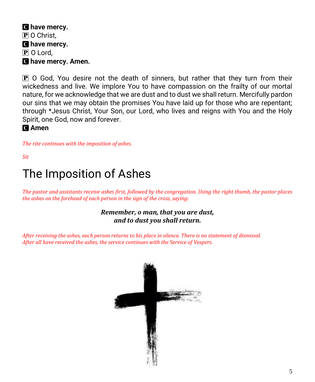C **have mercy.** P O Christ. C **have mercy.**  $\bf{P}$  O Lord, C **have mercy. Amen.**

P O God, You desire not the death of sinners, but rather that they turn from their wickedness and live. We implore You to have compassion on the frailty of our mortal nature, for we acknowledge that we are dust and to dust we shall return. Mercifully pardon our sins that we may obtain the promises You have laid up for those who are repentant; through \*Jesus Christ, Your Son, our Lord, who lives and reigns with You and the Holy Spirit, one God, now and forever.

C **Amen**

*The rite continues with the imposition of ashes.*

*Sit*

# The Imposition of Ashes

*The pastor and assistants receive ashes first, followed by the congregation. Using the right thumb, the pastor places the ashes on the forehead of each person in the sign of the cross, saying:*

## *Remember, o man, that you are dust, and to dust you shall return.*

*After receiving the ashes, each person returns to his place in silence. There is no statement of dismissal. After all have received the ashes, the service continues with the Service of Vespers.*

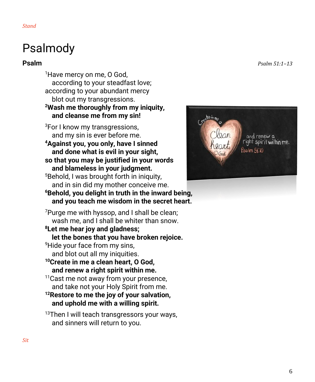*Stand*

# Psalmody

<sup>1</sup>Have mercy on me, O God, according to your steadfast love; according to your abundant mercy blot out my transgressions. **<sup>2</sup>Wash me thoroughly from my iniquity, and cleanse me from my sin!** <sup>3</sup>For I know my transgressions, and my sin is ever before me. **<sup>4</sup>Against you, you only, have I sinned and done what is evil in your sight, so that you may be justified in your words and blameless in your judgment.** <sup>5</sup>Behold, I was brought forth in iniquity, and in sin did my mother conceive me. **<sup>6</sup>Behold, you delight in truth in the inward being, and you teach me wisdom in the secret heart.** <sup>7</sup>Purge me with hyssop, and I shall be clean; wash me, and I shall be whiter than snow. **<sup>8</sup>Let me hear joy and gladness; let the bones that you have broken rejoice.** <sup>9</sup>Hide your face from my sins, and blot out all my iniquities. **<sup>10</sup>Create in me a clean heart, O God, and renew a right spirit within me.** <sup>11</sup> Cast me not away from your presence, and take not your Holy Spirit from me. **<sup>12</sup>Restore to me the joy of your salvation, and uphold me with a willing spirit.**

<sup>13</sup>Then I will teach transgressors your ways, and sinners will return to you.

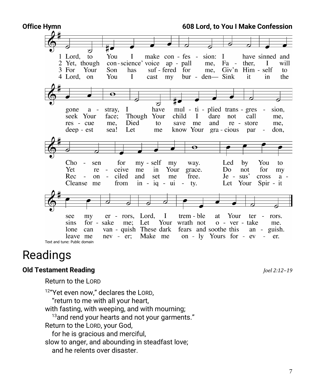

# Readings

## **Old Testament Reading** *Joel 2:12–19*

Return to the LORD

<sup>12</sup> "Yet even now," declares the LORD, "return to me with all your heart, with fasting, with weeping, and with mourning;  $13$ and rend your hearts and not your garments." Return to the LORD, your God, for he is gracious and merciful, slow to anger, and abounding in steadfast love; and he relents over disaster.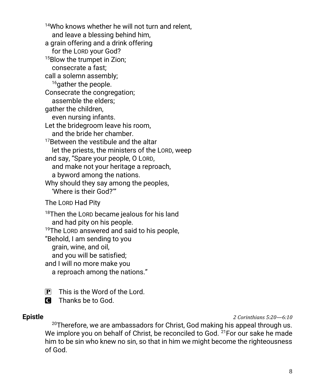<sup>14</sup>Who knows whether he will not turn and relent. and leave a blessing behind him, a grain offering and a drink offering for the LORD your God? <sup>15</sup>Blow the trumpet in Zion; consecrate a fast; call a solemn assembly; <sup>16</sup>gather the people. Consecrate the congregation; assemble the elders; gather the children, even nursing infants. Let the bridegroom leave his room, and the bride her chamber. <sup>17</sup>Between the vestibule and the altar let the priests, the ministers of the LORD, weep and say, "Spare your people, O LORD, and make not your heritage a reproach, a byword among the nations. Why should they say among the peoples, 'Where is their God?'" The LORD Had Pity <sup>18</sup>Then the LORD became jealous for his land and had pity on his people.

<sup>19</sup>The LORD answered and said to his people,

"Behold, I am sending to you

grain, wine, and oil,

and you will be satisfied;

and I will no more make you

a reproach among the nations."

- $\overline{P}$  This is the Word of the Lord.
- C Thanks be to God.

**Epistle** *2 Corinthians 5:20—6:10*

 $20$ Therefore, we are ambassadors for Christ, God making his appeal through us. We implore you on behalf of Christ, be reconciled to God.  $2^{15}$  For our sake he made him to be sin who knew no sin, so that in him we might become the righteousness of God.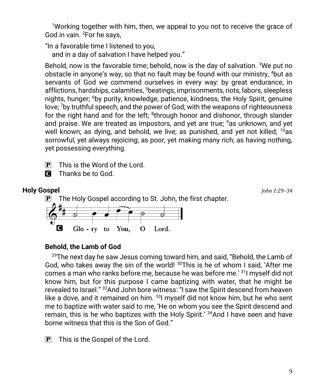<sup>1</sup>Working together with him, then, we appeal to you not to receive the grace of God in vain. <sup>2</sup>For he says,

"In a favorable time I listened to you,

and in a day of salvation I have helped you."

Behold, now is the favorable time; behold, now is the day of salvation. <sup>3</sup>We put no obstacle in anyone's way, so that no fault may be found with our ministry, 4but as servants of God we commend ourselves in every way: by great endurance, in afflictions, hardships, calamities, <sup>5</sup>beatings, imprisonments, riots, labors, sleepless nights, hunger; <sup>6</sup>by purity, knowledge, patience, kindness, the Holy Spirit, genuine love; <sup>7</sup>by truthful speech, and the power of God; with the weapons of righteousness for the right hand and for the left; <sup>8</sup>through honor and dishonor, through slander and praise. We are treated as impostors, and yet are true;  $9a$ s unknown, and yet well known; as dying, and behold, we live; as punished, and yet not killed; <sup>10</sup>as sorrowful, yet always rejoicing; as poor, yet making many rich; as having nothing, yet possessing everything.

 $\mathbf{P}$  This is the Word of the Lord.





## **Behold, the Lamb of God**

 $^{29}$ The next day he saw Jesus coming toward him, and said, "Behold, the Lamb of God, who takes away the sin of the world!  $30$ This is he of whom I said, 'After me comes a man who ranks before me, because he was before me.' <sup>31</sup>I myself did not know him, but for this purpose I came baptizing with water, that he might be revealed to Israel." <sup>32</sup>And John bore witness: "I saw the Spirit descend from heaven like a dove, and it remained on him.  $331$  myself did not know him, but he who sent me to baptize with water said to me, 'He on whom you see the Spirit descend and remain, this is he who baptizes with the Holy Spirit.' <sup>34</sup>And I have seen and have borne witness that this is the Son of God."

 $\mathbf{P}$  This is the Gospel of the Lord.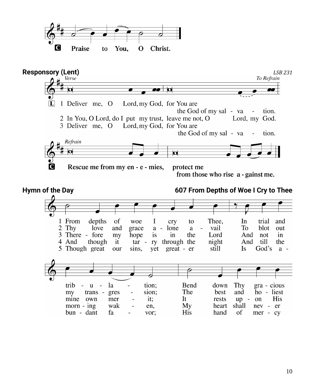

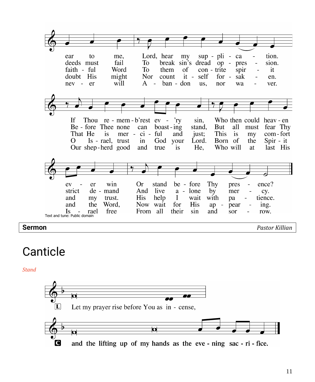

## Canticle

*Stand*

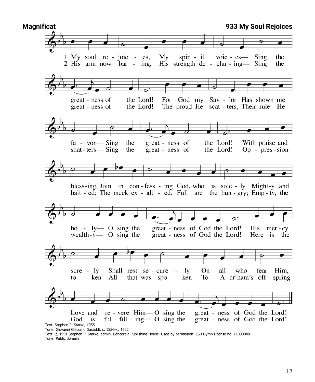

Text: © 1991 Stephen P. Starke, admin. Concordia Publishing House. Used by permission: LSB Hymn License no. 110000401 Tune: Public domain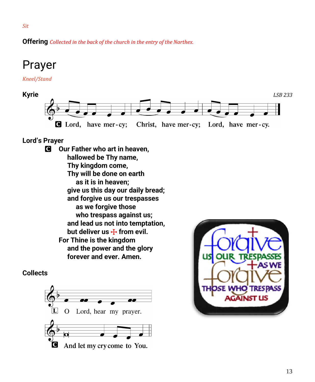**Offering** *Collected in the back of the church in the entry of the Narthex.*

# Prayer

*Kneel/Stand*



## **Lord's Prayer**

C **Our Father who art in heaven, hallowed be Thy name, Thy kingdom come, Thy will be done on earth as it is in heaven; give us this day our daily bread; and forgive us our trespasses as we forgive those who trespass against us; and lead us not into temptation,** but deliver us  $\bigstar$  from evil. **For Thine is the kingdom and the power and the glory forever and ever. Amen.**

## **Collects**



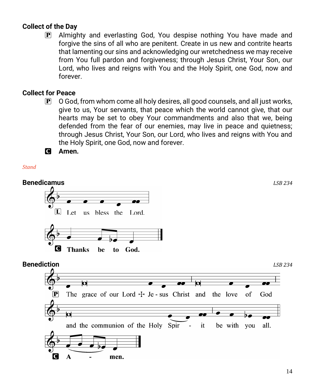## **Collect of the Day**

P Almighty and everlasting God, You despise nothing You have made and forgive the sins of all who are penitent. Create in us new and contrite hearts that lamenting our sins and acknowledging our wretchedness we may receive from You full pardon and forgiveness; through Jesus Christ, Your Son, our Lord, who lives and reigns with You and the Holy Spirit, one God, now and forever.

## **Collect for Peace**

P O God, from whom come all holy desires, all good counsels, and all just works, give to us, Your servants, that peace which the world cannot give, that our hearts may be set to obey Your commandments and also that we, being defended from the fear of our enemies, may live in peace and quietness; through Jesus Christ, Your Son, our Lord, who lives and reigns with You and the Holy Spirit, one God, now and forever.

C **Amen.**

### *Stand*

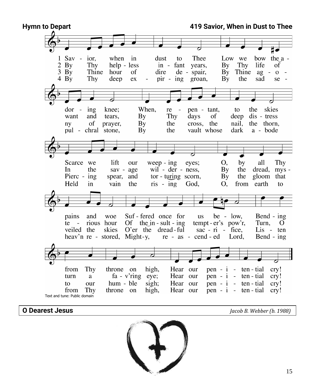

**O Dearest Jesus** *Jacob B. Webber (b. 1988)*